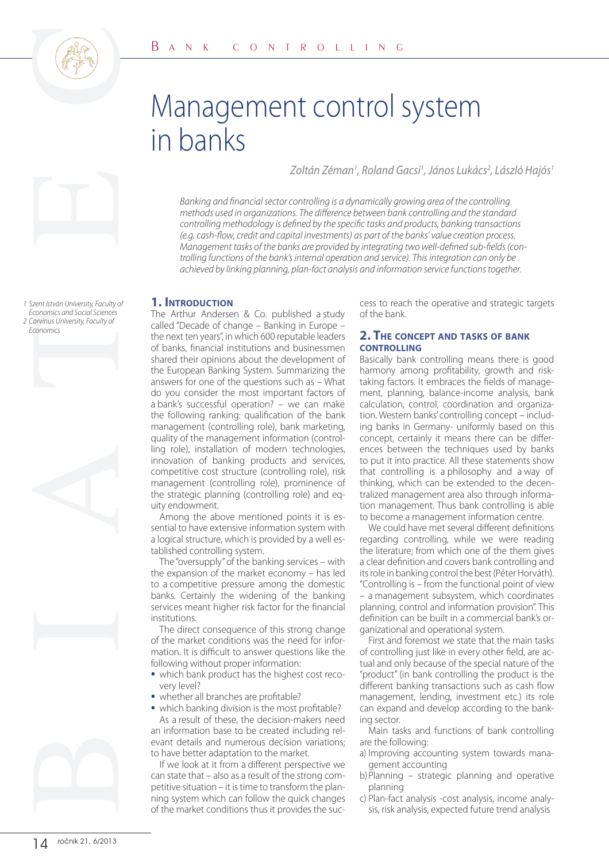# Management control system in banks

Zoltán Zéman<sup>1</sup>, Roland Gacsi<sup>1</sup>, János Lukács<sup>2</sup>, László Hajós<sup>1</sup>

Banking and financial sector controlling is a dynamically growing area of the controlling methods used in organizations. The difference between bank controlling and the standard controlling methodology is defined by the specific tasks and products, banking transactions (e.g. cash-flow, credit and capital investments) as part of the banks' value creation process. Management tasks of the banks are provided by integrating two well-defined sub-fields (controlling functions of the bank's internal operation and service). This integration can only be achieved by linking planning, plan-fact analysis and information service functions together.

### **1. INTRODUCTION**

**EVALUE AT A FORM CONTROLLING CONTROLLING CONTROLLING CONTROLLING CONTROLLING CONTROLLING CONTROLLING CONTROLLING CONTROLLING CONTROLLING CONTROLLING CONTROLLING CONTROLLING CONTROLLING CONTROLLING CONTROLLING CONTROLLING** The Arthur Andersen & Co. published a study called "Decade of change – Banking in Europe – the next ten years", in which 600 reputable leaders of banks, financial institutions and businessmen shared their opinions about the development of the European Banking System. Summarizing the answers for one of the questions such as – What do you consider the most important factors of a bank's successful operation? – we can make the following ranking: qualification of the bank management (controlling role), bank marketing, quality of the management information (controlling role), installation of modern technologies, innovation of banking products and services, competitive cost structure (controlling role), risk management (controlling role), prominence of the strategic planning (controlling role) and equity endowment.

Among the above mentioned points it is essential to have extensive information system with a logical structure, which is provided by a well established controlling system.

The "oversupply" of the banking services – with the expansion of the market economy – has led to a competitive pressure among the domestic banks. Certainly the widening of the banking services meant higher risk factor for the financial institutions.

The direct consequence of this strong change of the market conditions was the need for information. It is difficult to answer questions like the following without proper information:

- which bank product has the highest cost recovery level?
- whether all branches are profitable?
- which banking division is the most profitable?

As a result of these, the decision-makers need an information base to be created including relevant details and numerous decision variations; to have better adaptation to the market.

If we look at it from a different perspective we can state that – also as a result of the strong competitive situation – it is time to transform the planning system which can follow the quick changes of the market conditions thus it provides the success to reach the operative and strategic targets of the bank.

# **2. THE CONCEPT AND TASKS OF BANK CONTROLLING**

Basically bank controlling means there is good harmony among profitability, growth and risktaking factors. It embraces the fields of management, planning, balance-income analysis, bank calculation, control, coordination and organization. Western banks' controlling concept – including banks in Germany- uniformly based on this concept, certainly it means there can be differences between the techniques used by banks to put it into practice. All these statements show that controlling is a philosophy and a way of thinking, which can be extended to the decentralized management area also through information management. Thus bank controlling is able to become a management information centre.

We could have met several different definitions regarding controlling, while we were reading the literature; from which one of the them gives a clear definition and covers bank controlling and its role in banking control the best (Péter Horváth). "Controlling is – from the functional point of view – a management subsystem, which coordinates planning, control and information provision". This definition can be built in a commercial bank's organizational and operational system.

First and foremost we state that the main tasks of controlling just like in every other field, are actual and only because of the special nature of the "product" (in bank controlling the product is the different banking transactions such as cash flow management, lending, investment etc.) its role can expand and develop according to the banking sector.

Main tasks and functions of bank controlling are the following:

- a) Improving accounting system towards management accounting
- b) Planning strategic planning and operative planning
- c) Plan-fact analysis -cost analysis, income analysis, risk analysis, expected future trend analysis

1 Szent István University, Faculty of Economics and Social Sciences 2 Corvinus University, Faculty of Economics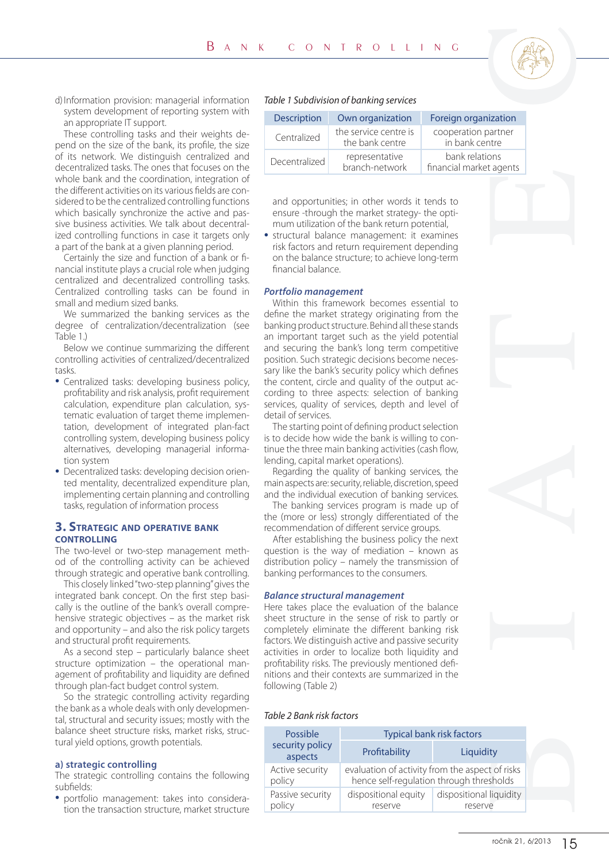

d) Information provision: managerial information system development of reporting system with an appropriate IT support.

These controlling tasks and their weights depend on the size of the bank, its profile, the size of its network. We distinguish centralized and decentralized tasks. The ones that focuses on the whole bank and the coordination, integration of the different activities on its various fields are considered to be the centralized controlling functions which basically synchronize the active and passive business activities. We talk about decentralized controlling functions in case it targets only a part of the bank at a given planning period.

Certainly the size and function of a bank or financial institute plays a crucial role when judging centralized and decentralized controlling tasks. Centralized controlling tasks can be found in small and medium sized banks.

We summarized the banking services as the degree of centralization/decentralization (see Table 1.)

Below we continue summarizing the different controlling activities of centralized/decentralized tasks.

- Centralized tasks: developing business policy, profitability and risk analysis, profit requirement calculation, expenditure plan calculation, systematic evaluation of target theme implementation, development of integrated plan-fact controlling system, developing business policy alternatives, developing managerial information system
- Decentralized tasks: developing decision oriented mentality, decentralized expenditure plan, implementing certain planning and controlling tasks, regulation of information process

## **3. STRATEGIC AND OPERATIVE BANK CONTROLLING**

The two-level or two-step management method of the controlling activity can be achieved through strategic and operative bank controlling.

This closely linked "two-step planning" gives the integrated bank concept. On the first step basically is the outline of the bank's overall comprehensive strategic objectives – as the market risk and opportunity – and also the risk policy targets and structural profit requirements.

As a second step – particularly balance sheet structure optimization – the operational management of profitability and liquidity are defined through plan-fact budget control system.

So the strategic controlling activity regarding the bank as a whole deals with only developmental, structural and security issues; mostly with the balance sheet structure risks, market risks, structural yield options, growth potentials.

#### **a) strategic controlling**

The strategic controlling contains the following subfields:

• portfolio management: takes into consideration the transaction structure, market structure

#### Table 1 Subdivision of banking services

| <b>Description</b>   | Own organization                         | Foreign organization                      |
|----------------------|------------------------------------------|-------------------------------------------|
| Centralized          | the service centre is<br>the bank centre | cooperation partner<br>in bank centre     |
| <b>Decentralized</b> | representative<br>branch-network         | bank relations<br>financial market agents |

#### Table 2 Bank risk factors

|                                                   | CONTROLLING                                                                                                                                                                                                                                                                                                                                                                                                                                                                                                                                                                                                                                                                                                                                                                             |                                                                                             |                         |
|---------------------------------------------------|-----------------------------------------------------------------------------------------------------------------------------------------------------------------------------------------------------------------------------------------------------------------------------------------------------------------------------------------------------------------------------------------------------------------------------------------------------------------------------------------------------------------------------------------------------------------------------------------------------------------------------------------------------------------------------------------------------------------------------------------------------------------------------------------|---------------------------------------------------------------------------------------------|-------------------------|
|                                                   |                                                                                                                                                                                                                                                                                                                                                                                                                                                                                                                                                                                                                                                                                                                                                                                         |                                                                                             |                         |
|                                                   | Table 1 Subdivision of banking services                                                                                                                                                                                                                                                                                                                                                                                                                                                                                                                                                                                                                                                                                                                                                 |                                                                                             |                         |
| Description                                       | Own organization                                                                                                                                                                                                                                                                                                                                                                                                                                                                                                                                                                                                                                                                                                                                                                        | Foreign organization                                                                        |                         |
| Centralized                                       | the service centre is<br>the bank centre                                                                                                                                                                                                                                                                                                                                                                                                                                                                                                                                                                                                                                                                                                                                                | cooperation partner<br>in bank centre                                                       |                         |
| Decentralized                                     | representative                                                                                                                                                                                                                                                                                                                                                                                                                                                                                                                                                                                                                                                                                                                                                                          | bank relations                                                                              |                         |
|                                                   | branch-network                                                                                                                                                                                                                                                                                                                                                                                                                                                                                                                                                                                                                                                                                                                                                                          | financial market agents                                                                     |                         |
| financial balance.<br><b>Portfolio management</b> | and opportunities; in other words it tends to<br>ensure -through the market strategy- the opti-<br>mum utilization of the bank return potential,<br>structural balance management: it examines<br>risk factors and return requirement depending<br>on the balance structure; to achieve long-term                                                                                                                                                                                                                                                                                                                                                                                                                                                                                       |                                                                                             |                         |
| detail of services.                               | Within this framework becomes essential to<br>define the market strategy originating from the<br>banking product structure. Behind all these stands<br>an important target such as the yield potential<br>and securing the bank's long term competitive<br>position. Such strategic decisions become neces-<br>sary like the bank's security policy which defines<br>the content, circle and quality of the output ac-<br>cording to three aspects: selection of banking<br>services, quality of services, depth and level of<br>The starting point of defining product selection<br>is to decide how wide the bank is willing to con-<br>tinue the three main banking activities (cash flow,<br>lending, capital market operations).<br>Regarding the quality of banking services, the |                                                                                             |                         |
|                                                   | main aspects are: security, reliable, discretion, speed<br>and the individual execution of banking services.<br>The banking services program is made up of<br>the (more or less) strongly differentiated of the<br>recommendation of different service groups.<br>After establishing the business policy the next<br>question is the way of mediation - known as<br>distribution policy - namely the transmission of<br>banking performances to the consumers.<br><b>Balance structural management</b><br>Here takes place the evaluation of the balance                                                                                                                                                                                                                                |                                                                                             |                         |
| following (Table 2)                               | sheet structure in the sense of risk to partly or<br>completely eliminate the different banking risk<br>factors. We distinguish active and passive security<br>activities in order to localize both liquidity and<br>profitability risks. The previously mentioned defi-<br>nitions and their contexts are summarized in the                                                                                                                                                                                                                                                                                                                                                                                                                                                            |                                                                                             |                         |
| Table 2 Bank risk factors                         |                                                                                                                                                                                                                                                                                                                                                                                                                                                                                                                                                                                                                                                                                                                                                                                         |                                                                                             |                         |
| Possible<br>security policy                       |                                                                                                                                                                                                                                                                                                                                                                                                                                                                                                                                                                                                                                                                                                                                                                                         | <b>Typical bank risk factors</b>                                                            |                         |
| aspects                                           | Profitability                                                                                                                                                                                                                                                                                                                                                                                                                                                                                                                                                                                                                                                                                                                                                                           | Liquidity                                                                                   |                         |
| Active security<br>policy                         |                                                                                                                                                                                                                                                                                                                                                                                                                                                                                                                                                                                                                                                                                                                                                                                         | evaluation of activity from the aspect of risks<br>hence self-regulation through thresholds |                         |
| Passive security<br>policy                        | dispositional equity<br>reserve                                                                                                                                                                                                                                                                                                                                                                                                                                                                                                                                                                                                                                                                                                                                                         | dispositional liquidity<br>reserve                                                          |                         |
|                                                   |                                                                                                                                                                                                                                                                                                                                                                                                                                                                                                                                                                                                                                                                                                                                                                                         |                                                                                             | ročník 21, 6/2013<br>15 |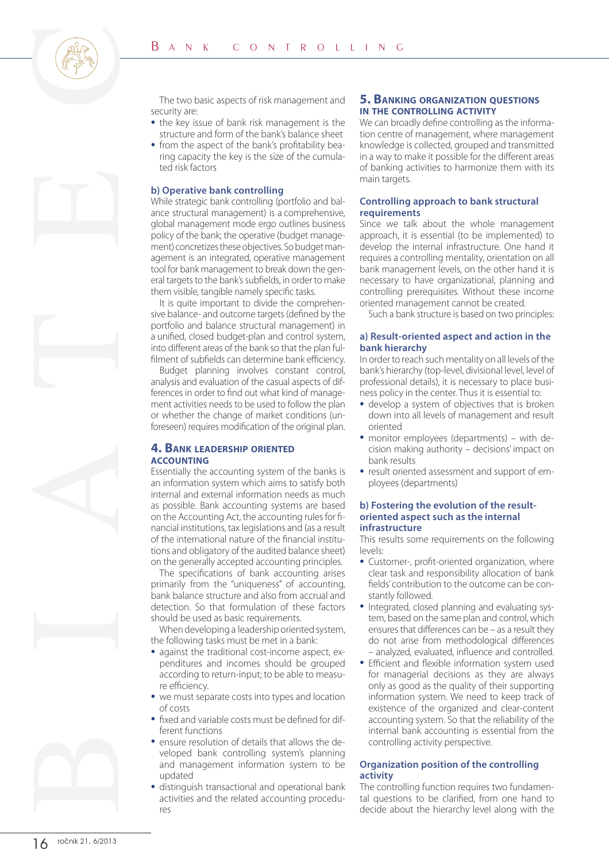

The two basic aspects of risk management and security are:

- the key issue of bank risk management is the structure and form of the bank's balance sheet
- from the aspect of the bank's profitability bearing capacity the key is the size of the cumulated risk factors

#### **b) Operative bank controlling**

16 ročník 21, 6/2013B I ATECB ANK CONTROLLING While strategic bank controlling (portfolio and balance structural management) is a comprehensive, global management mode ergo outlines business policy of the bank; the operative (budget management) concretizes these objectives. So budget management is an integrated, operative management tool for bank management to break down the general targets to the bank's subfields, in order to make them visible, tangible namely specific tasks.

It is quite important to divide the comprehensive balance- and outcome targets (defined by the portfolio and balance structural management) in a unified, closed budget-plan and control system, into different areas of the bank so that the plan fulfilment of subfields can determine bank efficiency.

Budget planning involves constant control, analysis and evaluation of the casual aspects of differences in order to find out what kind of management activities needs to be used to follow the plan or whether the change of market conditions (unforeseen) requires modification of the original plan.

#### **4. BANK LEADERSHIP ORIENTED ACCOUNTING**

Essentially the accounting system of the banks is an information system which aims to satisfy both internal and external information needs as much as possible. Bank accounting systems are based on the Accounting Act, the accounting rules for financial institutions, tax legislations and (as a result of the international nature of the financial institutions and obligatory of the audited balance sheet) on the generally accepted accounting principles.

The specifications of bank accounting arises primarily from the "uniqueness" of accounting, bank balance structure and also from accrual and detection. So that formulation of these factors should be used as basic requirements.

When developing a leadership oriented system, the following tasks must be met in a bank:

- against the traditional cost-income aspect, expenditures and incomes should be grouped according to return-input; to be able to measure efficiency.
- we must separate costs into types and location of costs
- fixed and variable costs must be defined for different functions
- ensure resolution of details that allows the developed bank controlling system's planning and management information system to be updated
- distinguish transactional and operational bank activities and the related accounting procedures

## **5. BANKING ORGANIZATION QUESTIONS IN THE CONTROLLING ACTIVITY**

We can broadly define controlling as the information centre of management, where management knowledge is collected, grouped and transmitted in a way to make it possible for the different areas of banking activities to harmonize them with its main targets.

#### **Controlling approach to bank structural requirements**

Since we talk about the whole management approach, it is essential (to be implemented) to develop the internal infrastructure. One hand it requires a controlling mentality, orientation on all bank management levels, on the other hand it is necessary to have organizational, planning and controlling prerequisites. Without these income oriented management cannot be created.

Such a bank structure is based on two principles:

#### **a) Result-oriented aspect and action in the bank hierarchy**

In order to reach such mentality on all levels of the bank's hierarchy (top-level, divisional level, level of professional details), it is necessary to place business policy in the center. Thus it is essential to:

- develop a system of objectives that is broken down into all levels of management and result oriented
- monitor employees (departments) with decision making authority – decisions' impact on bank results
- result oriented assessment and support of employees (departments)

#### **b) Fostering the evolution of the resultoriented aspect such as the internal infrastructure**

This results some requirements on the following levels:

- Customer-, profit-oriented organization, where clear task and responsibility allocation of bank fields' contribution to the outcome can be constantly followed.
- Integrated, closed planning and evaluating system, based on the same plan and control, which ensures that differences can be – as a result they do not arise from methodological differences – analyzed, evaluated, influence and controlled.
- Efficient and flexible information system used for managerial decisions as they are always only as good as the quality of their supporting information system. We need to keep track of existence of the organized and clear-content accounting system. So that the reliability of the internal bank accounting is essential from the controlling activity perspective.

## **Organization position of the controlling activity**

The controlling function requires two fundamental questions to be clarified, from one hand to decide about the hierarchy level along with the